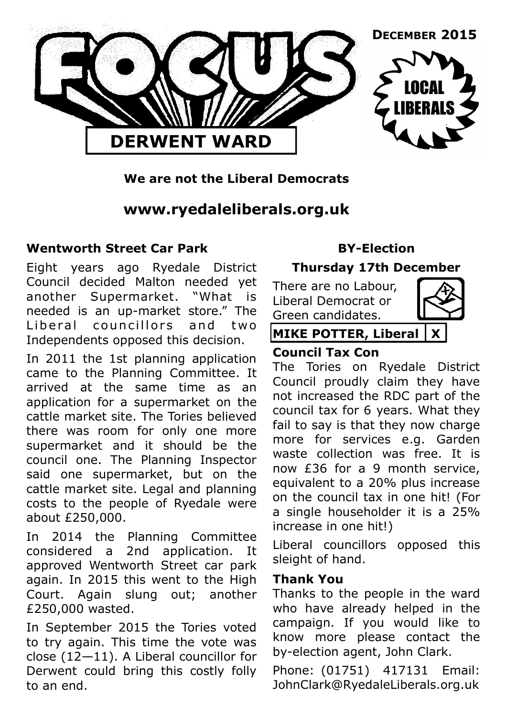

## **We are not the Liberal Democrats**

# **www.ryedaleliberals.org.uk**

#### **Wentworth Street Car Park**

Eight years ago Ryedale District Council decided Malton needed yet another Supermarket. "What is needed is an up-market store." The Liberal councillors and two Independents opposed this decision.

In 2011 the 1st planning application came to the Planning Committee. It arrived at the same time as an application for a supermarket on the cattle market site. The Tories believed there was room for only one more supermarket and it should be the council one. The Planning Inspector said one supermarket, but on the cattle market site. Legal and planning costs to the people of Ryedale were about £250,000.

In 2014 the Planning Committee considered a 2nd application. It approved Wentworth Street car park again. In 2015 this went to the High Court. Again slung out; another £250,000 wasted.

In September 2015 the Tories voted to try again. This time the vote was close (12—11). A Liberal councillor for Derwent could bring this costly folly to an end.

## **BY-Election**

## **Thursday 17th December**

There are no Labour, Liberal Democrat or Green candidates.



## **MIKE POTTER, Liberal X**

#### **Council Tax Con**

The Tories on Ryedale District Council proudly claim they have not increased the RDC part of the council tax for 6 years. What they fail to say is that they now charge more for services e.g. Garden waste collection was free. It is now £36 for a 9 month service, equivalent to a 20% plus increase on the council tax in one hit! (For a single householder it is a 25% increase in one hit!)

Liberal councillors opposed this sleight of hand.

#### **Thank You**

Thanks to the people in the ward who have already helped in the campaign. If you would like to know more please contact the by-election agent, John Clark.

Phone: (01751) 417131 Email: JohnClark@RyedaleLiberals.org.uk